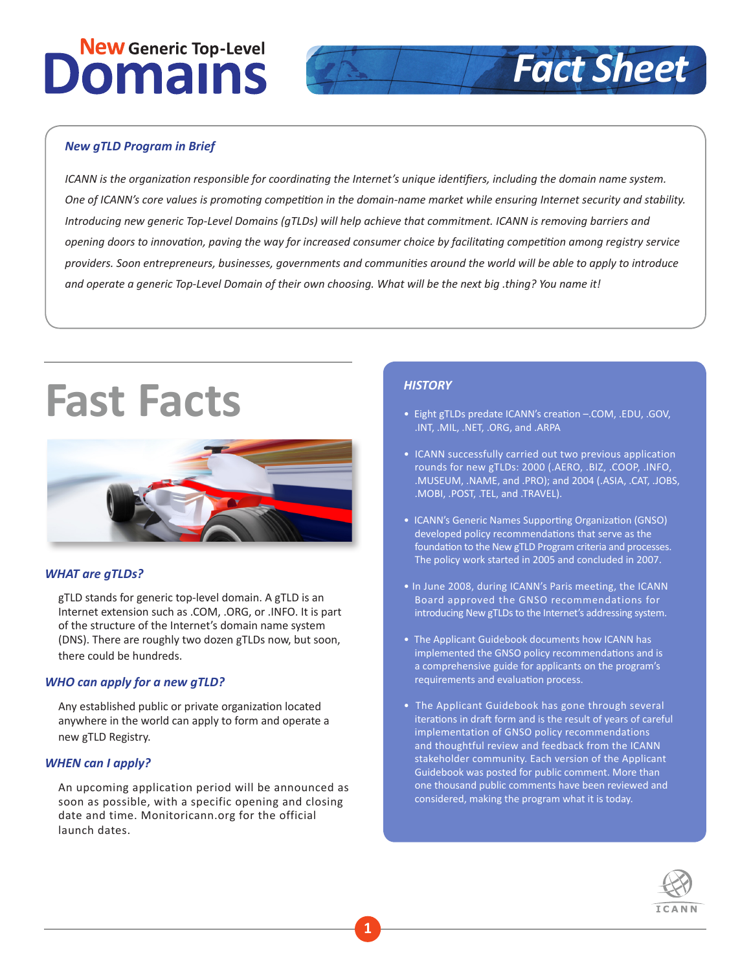### **New Generic Top-Level Domains**



#### *New gTLD Program in Brief*

*ICANN is the organization responsible for coordinating the Internet's unique identifiers, including the domain name system. One of ICANN's core values is promoting competition in the domain-name market while ensuring Internet security and stability. Introducing new generic Top-Level Domains (gTLDs) will help achieve that commitment. ICANN is removing barriers and opening doors to innovation, paving the way for increased consumer choice by facilitating competition among registry service providers. Soon entrepreneurs, businesses, governments and communities around the world will be able to apply to introduce and operate a generic Top-Level Domain of their own choosing. What will be the next big .thing? You name it!*

## **Fast Facts**



#### *WHAT are gTLDs?*

gTLD stands for generic top-level domain. A gTLD is an Internet extension such as .COM, .ORG, or .INFO. It is part of the structure of the Internet's domain name system (DNS). There are roughly two dozen gTLDs now, but soon, there could be hundreds.

#### *WHO can apply for a new gTLD?*

Any established public or private organization located anywhere in the world can apply to form and operate a new gTLD Registry.

#### *WHEN can I apply?*

An upcoming application period will be announced as soon as possible, with a specific opening and closing date and time. Monitoricann.org for the official launch dates.

#### *HISTORY*

- Eight gTLDs predate ICANN's creation –.COM, .EDU, .GOV, .INT, .MIL, .NET, .ORG, and .ARPA
- ICANN successfully carried out two previous application rounds for new gTLDs: 2000 (.AERO, .BIZ, .COOP, .INFO, .MUSEUM, .NAME, and .PRO); and 2004 (.ASIA, .CAT, .JOBS, .MOBI, .POST, .TEL, and .TRAVEL).
- ICANN's Generic Names Supporting Organization (GNSO) developed policy recommendations that serve as the foundation to the New gTLD Program criteria and processes. The policy work started in 2005 and concluded in 2007.
- In June 2008, during ICANN's Paris meeting, the ICANN Board approved the GNSO recommendations for introducing New gTLDs to the Internet's addressing system.
- The Applicant Guidebook documents how ICANN has implemented the GNSO policy recommendations and is a comprehensive guide for applicants on the program's requirements and evaluation process.
- The Applicant Guidebook has gone through several iterations in draft form and is the result of years of careful implementation of GNSO policy recommendations and thoughtful review and feedback from the ICANN stakeholder community. Each version of the Applicant Guidebook was posted for public comment. More than one thousand public comments have been reviewed and considered, making the program what it is today.

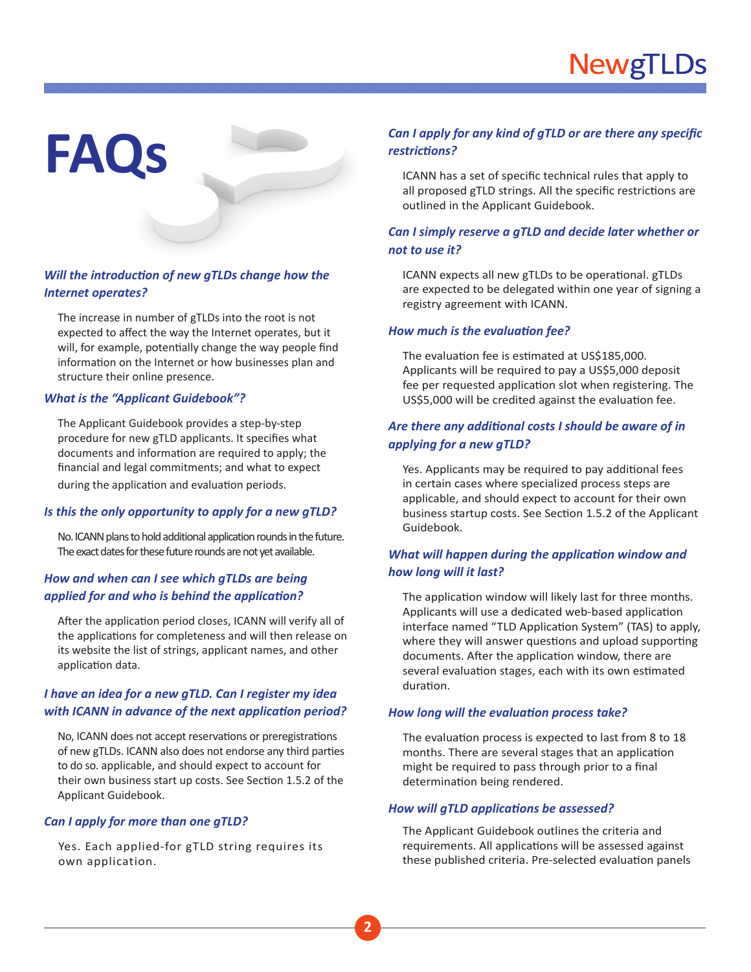# **FAQs**

#### *Will the introduction of new gTLDs change how the Internet operates?*

The increase in number of gTLDs into the root is not expected to affect the way the Internet operates, but it will, for example, potentially change the way people find information on the Internet or how businesses plan and structure their online presence.

#### *What is the "Applicant Guidebook"?*

The Applicant Guidebook provides a step-by-step procedure for new gTLD applicants. It specifies what documents and information are required to apply; the financial and legal commitments; and what to expect during the application and evaluation periods.

#### *Is this the only opportunity to apply for a new gTLD?*

No. ICANN plans to hold additional application rounds in the future. The exact dates for these future rounds are not yet available.

#### *How and when can I see which gTLDs are being applied for and who is behind the application?*

After the application period closes, ICANN will verify all of the applications for completeness and will then release on its website the list of strings, applicant names, and other application data.

#### *I have an idea for a new gTLD. Can I register my idea with ICANN in advance of the next application period?*

No, ICANN does not accept reservations or preregistrations of new gTLDs. ICANN also does not endorse any third parties to do so. applicable, and should expect to account for their own business start up costs. See Section 1.5.2 of the Applicant Guidebook.

#### *Can I apply for more than one gTLD?*

Yes. Each applied-for gTLD string requires its own application.

#### *Can I apply for any kind of gTLD or are there any specific restrictions?*

ICANN has a set of specific technical rules that apply to all proposed gTLD strings. All the specific restrictions are outlined in the Applicant Guidebook.

#### *Can I simply reserve a gTLD and decide later whether or not to use it?*

ICANN expects all new gTLDs to be operational. gTLDs are expected to be delegated within one year of signing a registry agreement with ICANN.

#### *How much is the evaluation fee?*

The evaluation fee is estimated at US\$185,000. Applicants will be required to pay a US\$5,000 deposit fee per requested application slot when registering. The US\$5,000 will be credited against the evaluation fee.

#### *Are there any additional costs I should be aware of in applying for a new gTLD?*

Yes. Applicants may be required to pay additional fees in certain cases where specialized process steps are applicable, and should expect to account for their own business startup costs. See Section 1.5.2 of the Applicant Guidebook.

#### *What will happen during the application window and how long will it last?*

The application window will likely last for three months. Applicants will use a dedicated web-based application interface named "TLD Application System" (TAS) to apply, where they will answer questions and upload supporting documents. After the application window, there are several evaluation stages, each with its own estimated duration.

#### *How long will the evaluation process take?*

The evaluation process is expected to last from 8 to 18 months. There are several stages that an application might be required to pass through prior to a final determination being rendered.

#### *How will gTLD applications be assessed?*

The Applicant Guidebook outlines the criteria and requirements. All applications will be assessed against these published criteria. Pre-selected evaluation panels